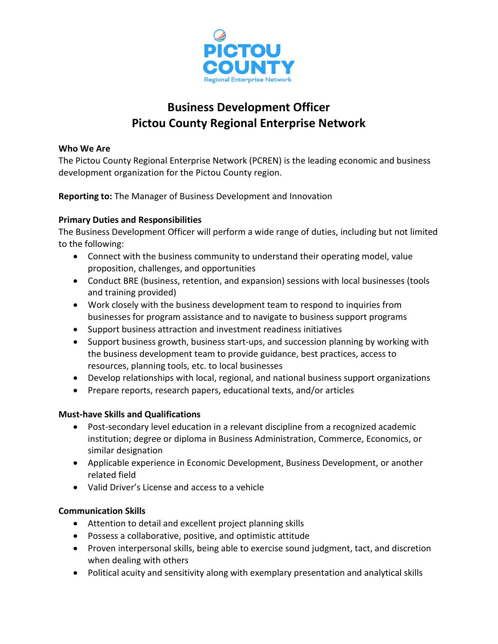

# **Business Development Officer Pictou County Regional Enterprise Network**

#### **Who We Are**

The Pictou County Regional Enterprise Network (PCREN) is the leading economic and business development organization for the Pictou County region.

**Reporting to:** The Manager of Business Development and Innovation

### **Primary Duties and Responsibilities**

The Business Development Officer will perform a wide range of duties, including but not limited to the following:

- Connect with the business community to understand their operating model, value proposition, challenges, and opportunities
- Conduct BRE (business, retention, and expansion) sessions with local businesses (tools and training provided)
- Work closely with the business development team to respond to inquiries from businesses for program assistance and to navigate to business support programs
- Support business attraction and investment readiness initiatives
- Support business growth, business start-ups, and succession planning by working with the business development team to provide guidance, best practices, access to resources, planning tools, etc. to local businesses
- Develop relationships with local, regional, and national business support organizations
- Prepare reports, research papers, educational texts, and/or articles

#### **Must-have Skills and Qualifications**

- Post-secondary level education in a relevant discipline from a recognized academic institution; degree or diploma in Business Administration, Commerce, Economics, or similar designation
- Applicable experience in Economic Development, Business Development, or another related field
- Valid Driver's License and access to a vehicle

#### **Communication Skills**

- Attention to detail and excellent project planning skills
- Possess a collaborative, positive, and optimistic attitude
- Proven interpersonal skills, being able to exercise sound judgment, tact, and discretion when dealing with others
- Political acuity and sensitivity along with exemplary presentation and analytical skills